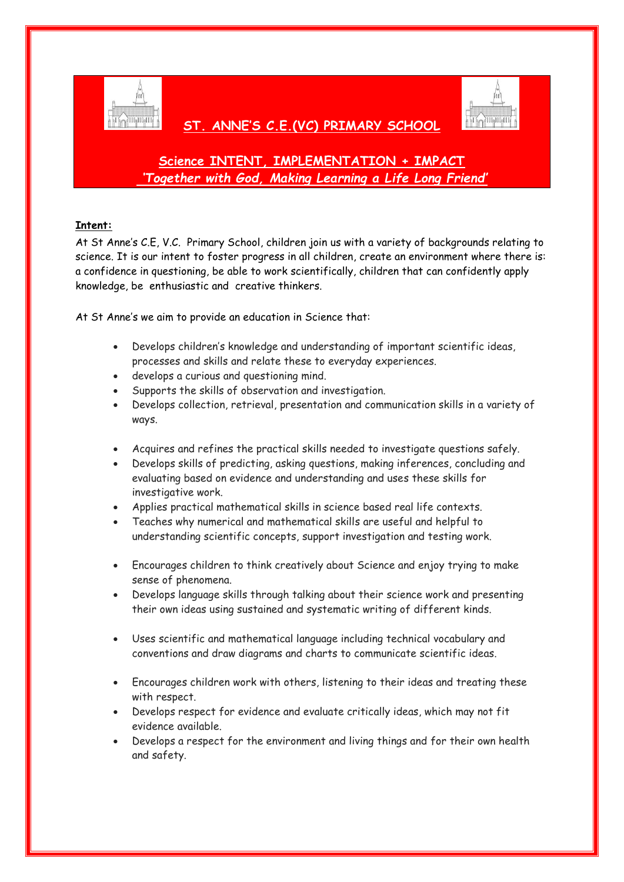

## **ST. ANNE'S C.E.(VC) PRIMARY SCHOOL**



# **Science INTENT, IMPLEMENTATION + IMPACT** *'Together with God, Making Learning a Life Long Friend'*

## **Intent:**

At St Anne's C.E, V.C. Primary School, children join us with a variety of backgrounds relating to science. It is our intent to foster progress in all children, create an environment where there is: a confidence in questioning, be able to work scientifically, children that can confidently apply knowledge, be enthusiastic and creative thinkers.

At St Anne's we aim to provide an education in Science that:

- Develops children's knowledge and understanding of important scientific ideas, processes and skills and relate these to everyday experiences.
- develops a curious and questioning mind.
- Supports the skills of observation and investigation.
- Develops collection, retrieval, presentation and communication skills in a variety of ways.
- Acquires and refines the practical skills needed to investigate questions safely.
- Develops skills of predicting, asking questions, making inferences, concluding and evaluating based on evidence and understanding and uses these skills for investigative work.
- Applies practical mathematical skills in science based real life contexts.
- Teaches why numerical and mathematical skills are useful and helpful to understanding scientific concepts, support investigation and testing work.
- Encourages children to think creatively about Science and enjoy trying to make sense of phenomena.
- Develops language skills through talking about their science work and presenting their own ideas using sustained and systematic writing of different kinds.
- Uses scientific and mathematical language including technical vocabulary and conventions and draw diagrams and charts to communicate scientific ideas.
- Encourages children work with others, listening to their ideas and treating these with respect.
- Develops respect for evidence and evaluate critically ideas, which may not fit evidence available.
- Develops a respect for the environment and living things and for their own health and safety.